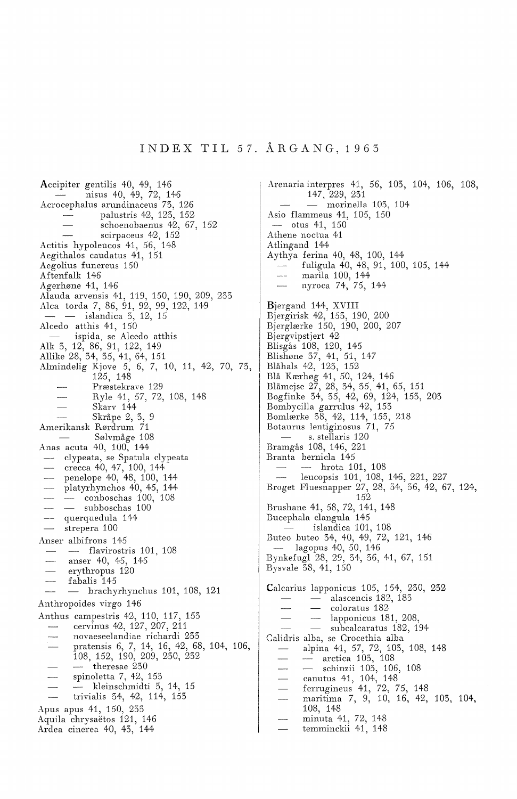## INDEX TIL 57. ARGANG, 1963

Accipiter gentilis 40, 49, 146 nisus 40, 49, 72, 146 Acrocephalus arundinaceus 73, 126 palustris 42, 123, 152 schoenobaenus 42, 67, 152 scirpaceus 42, 152 Actitis hypoleucos 41, 56, 148 Aegithalos caudatus 41, 151 Aegolius funereus 150 Aftenfalk 146 Agerhøne 41, 146 Alauda arvensis 41, 119, 150, 190, 209, 233 Alca torda 7, 86, 91, 92, 99, 122, 149 — — islandica 3, 12, 15 Alcedo atthis 41, 150 ispida, se Alcedo atthis Alk 3, 12, 86, 91, 122, 149 Allike 28, 34, 35, 41, 64, 151 Almindelig Kjove *5,* 6, 7, 10, 11, 42, 70, 73, 125, 148 Præstekrave 129 Ryle 41, 57, 72, 108, 148 Skarv 144 Skråpe 2, 3, 9 Amerikansk Rørdrum 71 Sølvmåge 108 Anas acuta 40, 100, 144 clypeata, se Spatula clypeata crecca 40, 47, 100, 144  $\sim$ penelope 40, 48, 100, 144 platyrhynchos 40, 45, 144  $\leftarrow$  conboschas 100, 108 - subboschas 100 -- querquedula 144 strepera 100 Anser albifrons 145 flavirostris 101, 108 anser 40, 45, 145 erythropus 120  $\overline{\phantom{0}}$ fabalis 145 - brachyrhynchus 101, 108, 121 Anthropoides virgo 146 Anthus campestris 42, 110, 117, 153 cervinus 42, 127, 207, 211 novaeseelandiae richardi 233 pratensis 6, 7, 14, 16, 42, 68, 104, 106, 108, 152, 190, 209, 230, 232  $-$  theresae 230 spinoletta 7, 42, 153 kleinschmidti 3, 14, 15  $\frac{1}{2}$ trivialis 34, 42, 114, 153 Apus apus 41, 150, 233 Aquila chrysaetos 121, 146 Ardea cinerea 40, 43, 144

Arenaria interpres 41, 56, 103, 104, 106, 108, 147, 229, 231  $-$  morinella 103, 104 Asio flammeus 41, 105, 150  $-$  otus 41, 150 Athene noctua 41 Atlingand 144 Aythya ferina 40, 48, 100, 144 fuligula 40, 48, 91, 100, 105, 144 marila 100, 144 nyroca 74, *75,* 144 Bjergand 144, XVIII Bjergirisk 42, 153, 190, 200 Bjerglærke 150, 190, 200, 207 Bjergvipstjert 42 Blisgås 108, 120, 145 Blishøne 37, 41, 51, 147 Blåhals 42, 123, 152 Blå Kærhøg 41, *50,* 124, 146 Blåmejse 27, 28, 34, 35, 41, 65, 151 Bogfinke 34, 35, 42, 69, 124, 153, 203 Bombycilla garrulus 42, 153 Bomlærke 38, 42, 114, 153, 218 Botaurus lentiginosus 71, *75*  s. stellaris 120 Bramgås 108, 146, 221 Branta bernicla 145 - hrota 101, 108 leucopsis 101, 108, 146, 221, 227 Broget Fluesnapper 27, 28, 34, 36, 42, 67, 124, 152 Brushane 41, 58, 72, 141, 148 Bucephala clangula 145 islandica 101, 108 Buteo buteo 34, 40, 49, 72, 121, 146 lagopus 40, 50, 146 Bynkefugl 28, 29, 34, 36, 41, 67, 151 Bysvale 38, 41, 150 Calcarius lapponicus 105, 154, 230, 232 alascencis 182, 183 coloratus 182 lapponicus 181, 208, subcalcaratus 182, 194 Calidris alba, se Crocethia alba alpina 41, 57, 72, 103, 108, 148 arctica 103, 108 - schinzii 103, 106, 108 canutus 41, 104, 148 ferrugineus 41, 72, *75,* 148 maritima 7, 9, 10, 16, 42, 103, 104, 108, 148 minuta 41, 72, 148 temminckii 41, 148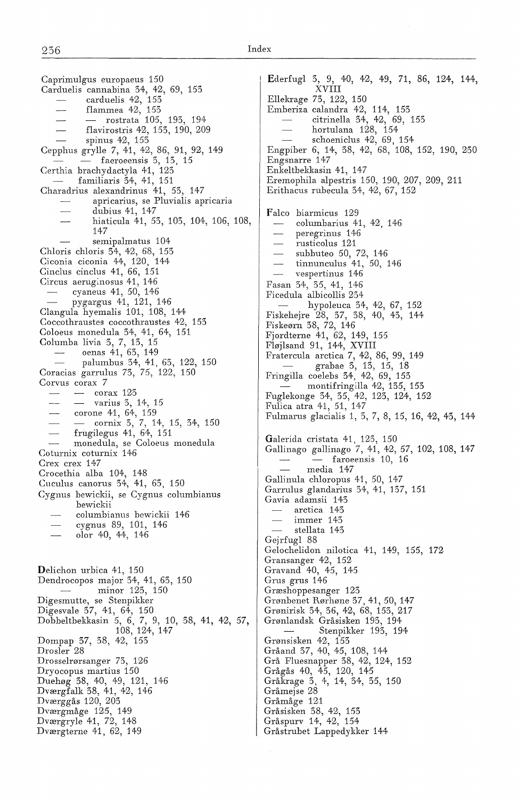Carduelis cannabina 34, 42, 69, 153 carduelis 42, 153 flammea 42, 153 - rostrata 105, 193, 194 flavirostris 42, 153, 190, 209 spinus 42, 153  $\sim$ Cepphus grylle 7, 41, 42, 86, 91, 92, 149  $-$  faeroeensis 3, 13, 15 Certhia brachydactyla 41, 123 familiaris 34, 41, 151 Charadrius alexandrinus 41, 53, 147 apricarius, se Pluvialis apricaria dubius 41, 147 hiaticula 41, 53, 103, 104, 106, 108, 147 semipalmatus 104 Chloris chloris 34, 42, 68, 153 Ciconia ciconia 44, 120, 144 Cinclus cinclus 41, 66, 151 Circus aeruginosus 41, 146 cyaneus 41, 50, 146 pygargus 41, 121, 146 Clangula hyemalis 101, 108, 144 Coccothraustes coccothraustes 42, 153 Coloeus monedula 34, 41, 64, 151 Columba livia 3, 7, 13, 15 oenas 41, 63, 149 palumbus 34, 41, 63, 122, 150 Coracias garrulus 73, 75, 122, 150 Corvus corax 7  $-$  corax 123  $-$  varius 3, 14, 15  $\overline{\phantom{a}}$ corone 41, 64, 159 cornix 3, 7, 14, 15, 34, 150 frugilegus 41, 64, 151 monedula, se Coloeus monedula Coturnix coturnix 146 Crex crex 147 Crocethia alba 104, 148 Cuculus canorus 34, 41, 65, 150 Cygnus bewickii, se Cygnus columbianus bewickii columbianus bewickii 146 cygnus 89, 101, 146 olor 40, 44, 146 Delichon urbica 41, 150 Dendrocopos major 34, 41, 63, 150 minor 123, 150 Digesmutte, se Stenpikker Digesvale 37, 41, 64, 150 Dobbeltbekkasin 5, 6, 7, 9, 10, 38, 41, 42, 57, 108, 124, 147 Dompap 37, 38, 42, 155 Drosler 28 Drosselrørsanger 73, 126 Dryocopus martius 150 Duehøg 38, 40, 49, 121, 146 Dværgfalk 38, 41, 42, 146 Dværggås 120, 203 Dværgmåge 125, 149 Dværgryle 41, 72, 148 Dværgterne 41, 62, 149

Ederfugl 3, 9, 40, 42, 49, 71, 86, 124, 144, XVIII Ellekrage 73, 122, 150 Emberiza calandra 42, 114, 153 citrinella 34, 42, 69, 153 hortulana 128, 154 schoeniclus 42, 69, 154 Engpiber 6, 14, 38, 42, 68, 108, 152, 190, 230 Engsnarre 147 Enkeltbekkasin 41, 147 Eremophila alpestris 150, 190, 207, 209, 211 Erithacus rubecula 34, 42, 67, 152 Falco biarmicus 129 columbarius 41, 42, 146 peregrinus 146 rusticolus 121 subbuteo *50,* 72, 146 tinnunculus 41, 50, 146 vespertinus 146 Fasan 34, 35, 41, 146 Ficedula albicollis 234 hypoleuca 34, 42, 67, 152 Fiskehejre 28, 37, 38, 40, 43, 144 Fiskeørn 38, 72, 146 Fjordterne 41, 62, 149, 155 Fløjlsand 91, 144, XVIII Fratercula arctica 7, 42, 86, 99, 149 grabae 3, 13, 15, 18 Fringilla coelebs 34, 42, 69, 153 montifringilla 42, 135, 153 Fuglekonge 34, 35, 42, 123, 124, 152 Fulica atra 41, 51, 147 Fulmarus glacialis 1, 3, 7, 8, 15, 16, 42, 43, 144 Galerida cristata 41, 123, 150 Gallinago gallinago 7, 41, 42, 57, 102, 108, 147  $-$  faroeensis 10, 16 media 147 Gallinula chloropus 41, 50, 147 Garrulus glandarius 34, 41, 137, 151 Gavia adamsii 143 arctica 143 immer 145  $\overbrace{\qquad \qquad }^{}$ stellata 143 Gejrfugl 88 Gelochelidon nilotica 41, 149, 155, 172 Gransanger 42, 152 Gravand 40, 45, 145 Grus grus 146 Græshoppesanger 123 Grønbenet Rørhøne 37, 41, *50,* 147 Grønirisk 34, 36, 42, 68, 153, 217 Grønlandsk Gråsisken 193, 194 Stenpikker 193, 194 Grønsisken 42, 153 Gråand 37, 40, 45, 108, 144 Grå Fluesnapper 38, 42, 124, 152 Grågås 40, 45, 120, 145 Gråkrage 3, 4, 14, 34, 35, 150 Gråmejse 28 Gråmåge 121 Gråsisken 38, 42, 153 Gråspurv 14, 42, 154 Gråstrubet Lappedykker 144

Caprimulgus europaeus 150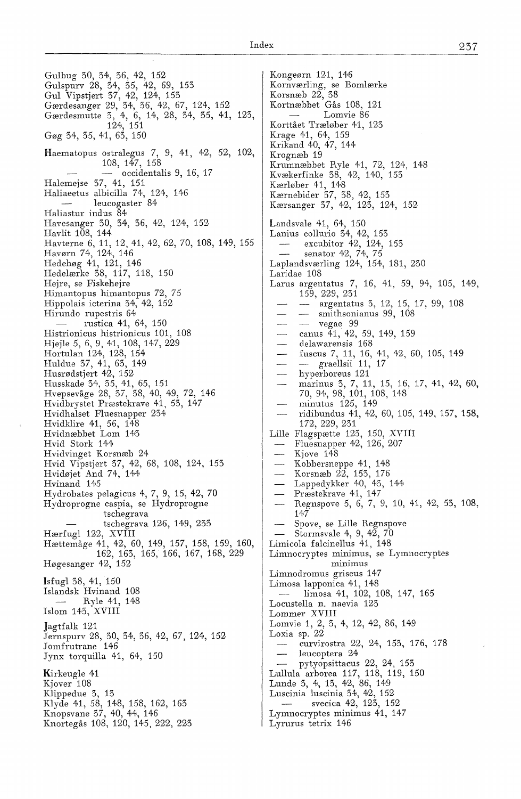Gulbug 30, 34, 36, 42, 152 Gulspurv 28, 34, 35, 42, 69, 153 Gul Vipstjert 37, 42, 124, 153 Gærdesanger 29, 34, 36, 42, 67, 124, 152 Gærdesmutte 3, 4, 6, 14, 28, 34, 35, 41, 123, 124, 151 Gøg 34, 35, 41, 63, 150 Haematopus ostralegus 7, 9, 41, 42, 52, 102, 108, 147, 158 - occidentalis 9, 16, 17 Halemejse 37, 41, 151 Haliaeetus albicilla 74, 124, 146 leucogaster 84 Haliastur indus 84 Havesanger 30, 34, 36, 42, 124, 152 Havlit 108, 144 Havterne 6, 11, 12, 41, 42, 62, 70, 108, 149, 155 Havørn 74, 124, 146 Hedehøg 41, 121, 146 Hedelærke 38, 117, 118, 150 Hejre, se Fiskehejre Himantopus himantopus 72, 75 Hippolais icterina 34, 42, 152 Hirundo rupestris 64 rustica 41, 64, 150 Histrionicus histrionicus 101, 108 Hjejle *5,* 6, 9, 41, 108, 147, 229 Hortulan 124, 128, 154 Huldue 37, 41, 63, 149 Husrødstjert 42, 152 Husskade 34, 35, 41, 65, 151 Hvepsevåge 28, 37, 38, 40, 49, 72, 146 Hvidbrystet Præstekrave 41, 53, 147 Hvidhalset Fluesnapper 234 Hvidklire 41, 56, 148 Hvidnæbbet Lom 143 Hvid Stork 144 Hvidvinget Korsnæb 24 Hvid Vipstjert 37, 42, 68, 108, 124, 153 Hvidøjet And 74, 144 Hvinand 145 Hydrobates pelagicus 4, 7, 9, 15, 42, 70 Hydroprogne caspia, se Hydroprogne tschegrava tschegrava 126, 149, 233 Hærfugl 122, XVIII Hættemåge 41, 42, 60, 149, 157, 158, 159, 160, 162, 163, 165, 166, 167, 168, 229 Høgesanger 42, 152 Isfugl 38, 41, 150 Islandsk Hvinand 108 Ryle 41, 148 Islom 143, XVIII Jagtfalk 121 Jernspurv 28, 30, 34, 36, 42, 67, 124, 152 Jomfrutrane 146 Jynx torquilla 41, 64, *150*  Kirkeugle 41 Kjover<sup>708</sup> Klippedue 3, 13 Klyde 41, 58, 148, 158, 162, 163 Knopsvane 37, 40, 44, 146 Knortegås 108, 120, 145, 222, 223

Kongeørn 121, 146 Kornværling, se Bomlærke Korsnæb 22, 38 Kortnæbbet Gås 108, 121 Lomvie 86 Korttået Træløber 41, 123 Krage 41, 64, 159 Krikand 40, 47, 144 Krognæb 19 Krumnæbbet Ryle 41, 72, 124, 148 Kvækerfinke 38, 42, 140, 153 Kærløber 41, 148 Kærnebider 37, 38, 42, 153 Kærsanger 37, 42, 123, 124, 152 Landsvale 41, 64, 150 Lanius collurio 34, 42, 153 excubitor 42, 124, 153 senator 42, 74, 75 Laplandsværling 124, 154, 181, 230 Laridae 108 Larus argentatus 7, 16, 41, 59, 94, 105, 149, 159, 229, 231 argentatus 3, 12, 15, 17, 99, 108 smithsonianus 99, 108  $\sim$ vegae 99 canus 41, 42, 59, 149, 159 delawarensis 168 fuscus 7, 11, 16, 41, 42, 60, 105, 149  $-$  graellsii 11, 17 hyperboreus 121 marinus 3, 7, 11, 15, 16, 17, 41, 42, 60, 70, 94, 98, 101, 108, 148 minutus 125, 149 ridibundus 41, 42, 60, 105, 149, 157, 158, 172, 229, 231 Lille Flagspætte 123, 150, XVIII Fluesnapper 42, 126, 207 Kjove 148 Kobbersneppe 41, 148  $\overline{\phantom{a}}$ Korsnæb 22, 153, 176 Lappedykker 40, 43, 144 Præstekrave 41, 147 Regnspove *5,* 6, 7, 9, 10, 41, 42, 53, 108, 147 Spove, se Lille Regnspove Stormsvale 4, 9, 42, 70 Limicola falcinellus 41, 148 Limnocryptes minimus, se Lymnocryptes minimus Limnodromus griseus 147 Limosa lapponica 41, 148 limosa 41, 102, 108, 147, 165 Locustella n. naevia 123 Lommer XVIII Lomvie 1, 2, 3, 4, 12, 42, 86, 149 Loxia sp. 22 curvirostra 22, 24, 153, 176, 178 leucoptera 24 pytyopsittacus 22, 24, 153 Lullula arborea 117, 118, 119, 150 Lunde 3, 4, 13, 42, 86, 149 Luscinia luscinia 34, 42, 152 svecica 42, 123, 152 Lymnocryptes minimus 41, 147 Lyrurus tetrix 146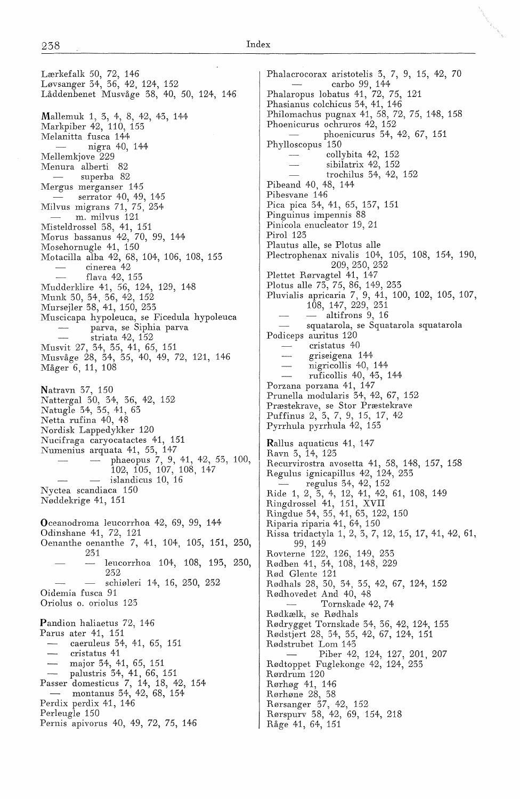Lærkefalk *50,* 72, 146 Løvsanger 34, 36, 42, 124, 152 Låddenbenet Musvåge 38, 40, *50,* 124, 146 Mallemuk 1, 3, 4, 8, 42, 43, 144 Markpiber 42, 110, 153 Melanitta fusca 144 nigra 40, 144 Mellemkjove 229 Menura alberti 82 superba 82 Mergus merganser 145 serrator 40, 49, 145 Milvus migrans 71, 75, 234 m. milvus 121 Misteldrossel 38, 41, 151 Morus bassanus 42, 70, 99, 144 Mosehornugle 41, *150*  Motacilla alba 42, 68, 104, 106, 108, 153 cinerea 42 flava 42, 153 Mudderklire 41, *56,* 124, 129, 148 Munk 30, 34, 36, 42, 152 Mursejler 38, 41, 150, 233 Muscicapa hypoleuca, se Ficedula hypoleuca parva, se Siphia parva striata 42, 152 Musvit 27, 34, 35, 41, *65,* 151 Musvåge 28, 34, 35, 40, 49, 72, 121, 146 Måger 6, 11, 108 Natravn 37, *150*  Nattergal 30, 34, 36, 42, 152 Natugle 34, 35, 41, 63 Netta rufina 40, 48 Nordisk Lappedykker 120 Nucifraga caryocatactes 41, 151 Numenius arquata 41, 53, 147 phaeopus 7, 9, 41, 42, 53, 100, 102, *105,* 107, 108, 147 islandicus 10, 16 Nyctea scandiaca 150 Nøddekrige 41, 151 Oceanodroma leucorrhoa 42, 69, 99, 144 Odinshane 41, 72, 121 Oenanthe oenanthe 7, 41, 104, 105, 151, 230, 231 leucorrhoa 104, 108, 193, 230, 232 schiøleri 14, 16, 230, 232 Oidemia fusca 91 Oriolus o. oriolus 123 Pandion haliaetus 72, 146 Parus ater 41, 151 caeruleus 34, 41, *65,* 151 cristatus 41 major 34, 41, 65, 151 palustris 34, 41, 66, 151 Passer domesticus 7, 14, 18, 42, 154 montanus 34, 42, 68, 154 Perdix perdix 41, 146 Perleugle 150 Fernis apivorus 40, 49, 72, 75, 146

Phalacrocorax aristotelis 3, 7, 9, 15, 42, 70 carbo 99, 144 Phalaropus lobatus 41, 72, 75, 121 Phasianus colchicus 34, 41, 146 Philomachus pugnax 41, 58, 72, 75, 148, 158 Phoenicurus ochruros 42, 152 phoenicurus 34, 42, 67, 151 Phylloscopus 130 collybita 42, 152 sibilatrix 42, 152 trochilus 34, 42, 152 Pibeand 40, 48, 144 Pibesvane 146 Pica pica 34, 41, 65, 137, 151 Pinguinus impennis 88 Pinicola enucleator 19, 21 Pirol 123 Plautus alle, se Plotus alle Plectrophenax nivalis 104, 105, 108, 154, 190, 209, 230, 232 Plettet Rørvagtel 41, 147 Plotus alle 73, 75, 86, 149, 233 Pluvialis apricaria 7, 9, 41, 100, 102, 105, 107, 108, 147, 229, 231 altifrons 9, 16 squatarola, se Squatarola squatarola Podiceps auritus 120 cristatus 40 griseigena 144 nigricollis 40, 144 ruficollis 40, 43, 144 Porzana porzana 41, 147 Prunella modularis 34, 42, 67, 152 Præstekrave, se Stor Præstekrave Puffinus 2, 3, 7, 9, 15, 17, 42 Pyrrhula pyrrhula 42, 153 Rallus aquaticus 41, 147 Ravn 3, 14, 123 Recurvirostra avosetta 41, *58,* 148, 157, 158 Regulus ignicapillus 42, 124, 233 regulus 34, 42, 152 Ride 1, 2, 3, 4, 12, 41, 42, 61, 108, 149 Ringdrossel 41, 151, XVII Ringdue 34, 35, 41, 63, 122, 150 Riparia riparia 41, 64, 150 Rissa tridactyla 1, 2, 3, 7, 12, 15, 17, 41, 42, 61, 99, 149 Rovterne 122, 126, 149, 233 Rødben 41, 54, 108, 148, 229 Rød Glente 121 Rødhals 28, 30, 34, 35, 42, 67, 124, 152 Rødhovedet And 40, 48 Tornskade 42, 7 4 Rødkælk, se Rødhals Rødrygget Tornskade 34, 36, 42, 124, 153 Rødstjert 28, 34, 35, 42, 67, 124, 151 Rødstrubet Lom 143 Piber 42, 124, 127, 201, 207 Rødtoppet Fuglekonge 42, 124, 233 Rørdrum 120 Rørhøg 41, 146 Rørhøne 28, 38 Rørsanger 37, 42, 152 Rørspurv 38, 42, 69, 154, 218 Råge 41, 64, 151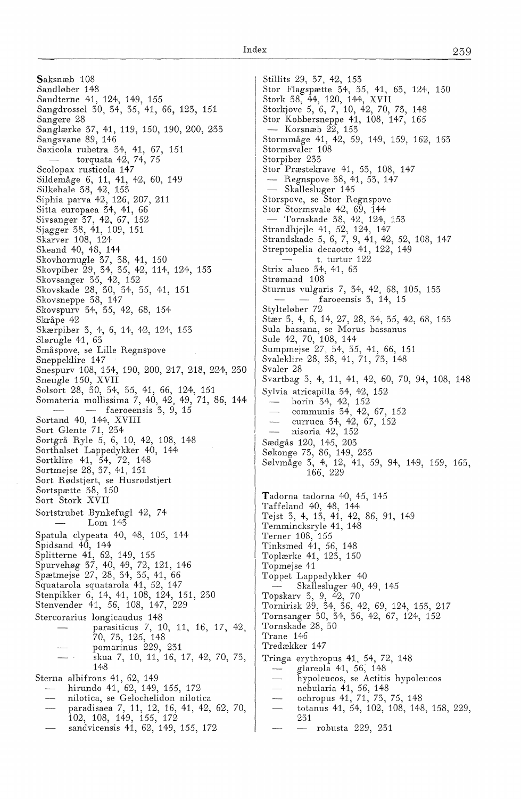Saksnæb 108 Sandløber 148 Sandterne 41, 124, 149, 155 Sangdrossel 30, 34, 35, 41, 66, 123, 151 Sangere Z8 Sanglærke 37, 41, 119, 150, 190, ZOO, 233 Sangsvane 89, 146 Saxicola rubetra 34, 41, 67, 151 torquata  $42, 74, 75$ Scolopax rusticola 147 Sildemåge 6, 11, 41, 4Z, 60, 149 Silkehale 38, 42, 153 Siphia parva 42, 126, 207, 211 Sitta europaea 34, 41, 66 Sivsanger 37, 42, 67, 15Z Sjagger 38, 41, 109, 151 Skarver 108, 124 Skeand 40, 48, 144 Skovhornugle 37, 38, 41, 150 Skovpiber 29, 34, 35, 4Z, 114, 124, 153 Skovsanger 35, 42, 152 Skovskade Z8, 30, 34, 35, 41, 151 Skovsneppe 38, 147 Skovspurv 34, 35, 4Z, 68, 154 Skråpe 4Z Skærpiber 3, 4, 6, 14, 4Z, 1Z4, 153 Slørugle 41, 63 Småspove, se Lille Regnspove Sneppeklire 147 Snespurv 108, 154, 190, 200, 217, 218, 224, 230 Sneugle 150, XVII Solsort 28, 30, 34, 35, 41, 66, 124, 151 Somateria mollissima 7, 40, 42, 49, 71, 86, 144  $-$  faeroeensis  $3, 9, 15$ Sortand 40, 144, XVIII Sort Glente 71, 234 Sortgrå Ryle *5,* 6, 10, 4Z, 108, 148 Sorthalset Lappedykker 40, 144 Sortklire 41, 54, 7Z, 148 Sortmejse 28, 37, 41, 151 Sort Rødstjert, se Husrødstjert Sortspætte 38, 150 Sort Stork XVII Sortstrubet Bynkefugl 4Z, 74 Lom 143 Spatula clypeata 40, 48, 105, 144 Spidsand  $40, 144$ Splitterne 41, 62, 149, 155 Spurvehøg 37, 40, 49, 7Z, 121, 146 Spætmejse 27, Z8, 34, 35, 41, 66 Squatarola squatarola 41, 52, 147 Stenpikker 6, 14, 41, 108, 124, 151, 250 Stenvender 41, 56, 108, 147, 229 Stercorarius longicaudus 148 parasiticus 7, 10, 11, 16, 17, 4Z, 70, 73, 125, 148 pomarinus 2Z9, Z31 skua 7, 10, 11, 16, 17, 4Z, 70, 73, 148 Sterna albifrons 41, 62, 149 hirundo 41, 62, 149, 155, 172 nilotica, se Gelochelidon nilotica paradisaea 7, 11, 1Z, 16, 41, 4Z, 62, 70, 102, 108, 149, 155, 172 sandvicensis 41, 62, 149, 155, 172

Stillits Z9, 37, 4Z, 153 Stor Flagspætte 34, 35, 41, 63, 1Z4, 150 Stork 38, 44, 120, 144, XVII Storkjove *5,* 6, 7, 10, 4Z, 70, 73, 148 Stor Kobbersneppe 41, 108, 147, 165 - Korsnæb $22, 153$ Stormmåge 41, 42, 59, 149, 159, 162, 163 Stormsvaler 108 Storpiber Z33 Stor Præstekrave 41, 53, 108, 147 - Regnspove 38, 41, 53, 147 - Skallesluger 145 Storspove, se Stor Regnspove Stor Stormsvale 42, 69, 144 - Tornskade 38, 4Z, 1Z4, 153 Strandhjejle 41, 5Z, 1Z4, 147 Strandskade 5, 6, 7, 9, 41, 4Z, 5Z, 108, 147 Streptopelia decaocto 41, 122, 149 t. turtur 122 Strix aluco 34, 41, 63 Strømand 108 Sturnus vulgaris 7, 34, 4Z, 68, 105, 153 faroeensis 3, 14, 15 Stylteløber 72 Stær 3, 4, 6, 14, Z7, Z8, 34, 35, 4Z, 68, 153 Sula bassana, se Morus bassanus Sule 4Z, 70, 108, 144 Sumpmejse 27, 34, 35, 41, 66, 151 Svaleklire Z8, 38, 41, 71, 73, 148 Svaler 28 Svartbag 3, 4, 11, 41, 42, 60, 70, 94, 108, 148 Sylvia atricapilla 34, 4Z, 152 borin 34, 42, 152 communis 34, 4Z, 67, 152 curruca 34, 42, 67, 152 nisoria 42, 152 Sædgås 120, 145, 203 Søkonge 73, 86, 149, Z33 Sølvmåge 3, 4, 12, 41, 59, 94, 149, 159, 163, 166, 2Z9 Tadorna tadorna 40, 45, 145 Taffeland 40, 48, 144 Tejst 3, 4, 13, 41, 42, 86, 91, 149 Temmincksryle 41, 148 Terner 108, 155 Tinksmed 41, 56, 148 Toplærke 41, 1Z3, 150 Topmejse 41 Toppet Lappedykker 40 Skallesluger 40, 49, 145 Topskarv 3, 9, 42, 70 Tornirisk 29, 34, 36, 42, 69, 124, 153, 217 Tornsanger 30, 34, 36, 42, 67, 124, 152 Tornskade Z8, 30 Trane 146 Tredækker 147 Tringa erythropus 41, 54, 72, 148 glareola 41, 56, 148 hypoleucos, se Actitis hypoleucos nebularia 41, 56, 148  $\sim$ ochropus 41, 71, 73, 75, 148 totanus 41, 54, 102, 108, 148, 158, 229, 231 robusta 229, 231